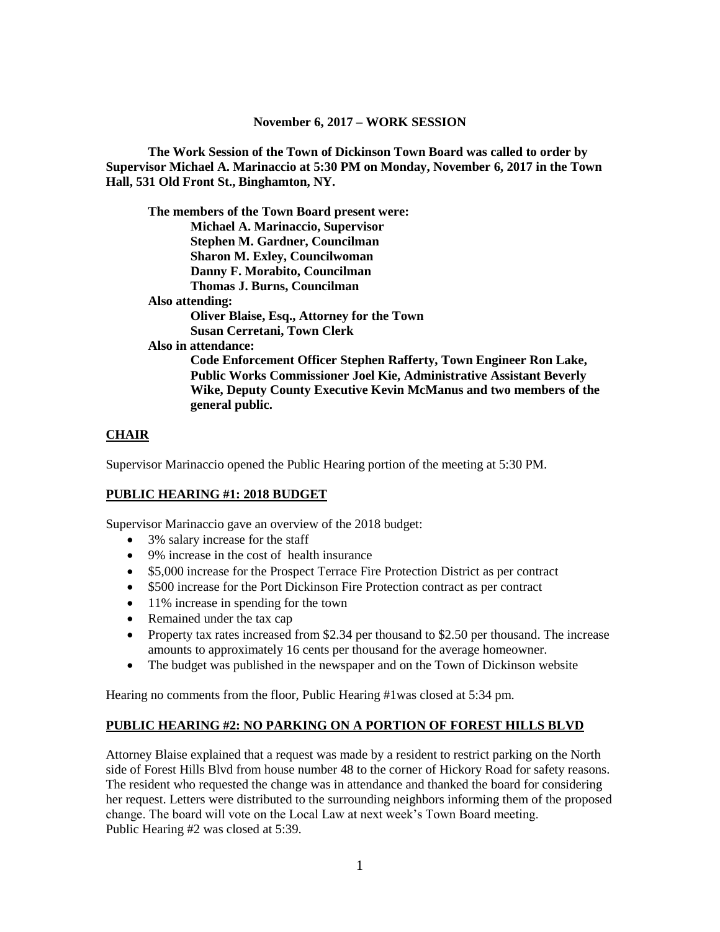**The Work Session of the Town of Dickinson Town Board was called to order by Supervisor Michael A. Marinaccio at 5:30 PM on Monday, November 6, 2017 in the Town Hall, 531 Old Front St., Binghamton, NY.**

**The members of the Town Board present were: Michael A. Marinaccio, Supervisor Stephen M. Gardner, Councilman Sharon M. Exley, Councilwoman Danny F. Morabito, Councilman Thomas J. Burns, Councilman Also attending: Oliver Blaise, Esq., Attorney for the Town Susan Cerretani, Town Clerk Also in attendance: Code Enforcement Officer Stephen Rafferty, Town Engineer Ron Lake, Public Works Commissioner Joel Kie, Administrative Assistant Beverly Wike, Deputy County Executive Kevin McManus and two members of the general public.**

## **CHAIR**

Supervisor Marinaccio opened the Public Hearing portion of the meeting at 5:30 PM.

## **PUBLIC HEARING #1: 2018 BUDGET**

Supervisor Marinaccio gave an overview of the 2018 budget:

- 3% salary increase for the staff
- 9% increase in the cost of health insurance
- \$5,000 increase for the Prospect Terrace Fire Protection District as per contract
- \$500 increase for the Port Dickinson Fire Protection contract as per contract
- 11% increase in spending for the town
- Remained under the tax cap
- Property tax rates increased from \$2.34 per thousand to \$2.50 per thousand. The increase amounts to approximately 16 cents per thousand for the average homeowner.
- The budget was published in the newspaper and on the Town of Dickinson website

Hearing no comments from the floor, Public Hearing #1was closed at 5:34 pm.

## **PUBLIC HEARING #2: NO PARKING ON A PORTION OF FOREST HILLS BLVD**

Attorney Blaise explained that a request was made by a resident to restrict parking on the North side of Forest Hills Blvd from house number 48 to the corner of Hickory Road for safety reasons. The resident who requested the change was in attendance and thanked the board for considering her request. Letters were distributed to the surrounding neighbors informing them of the proposed change. The board will vote on the Local Law at next week's Town Board meeting. Public Hearing #2 was closed at 5:39.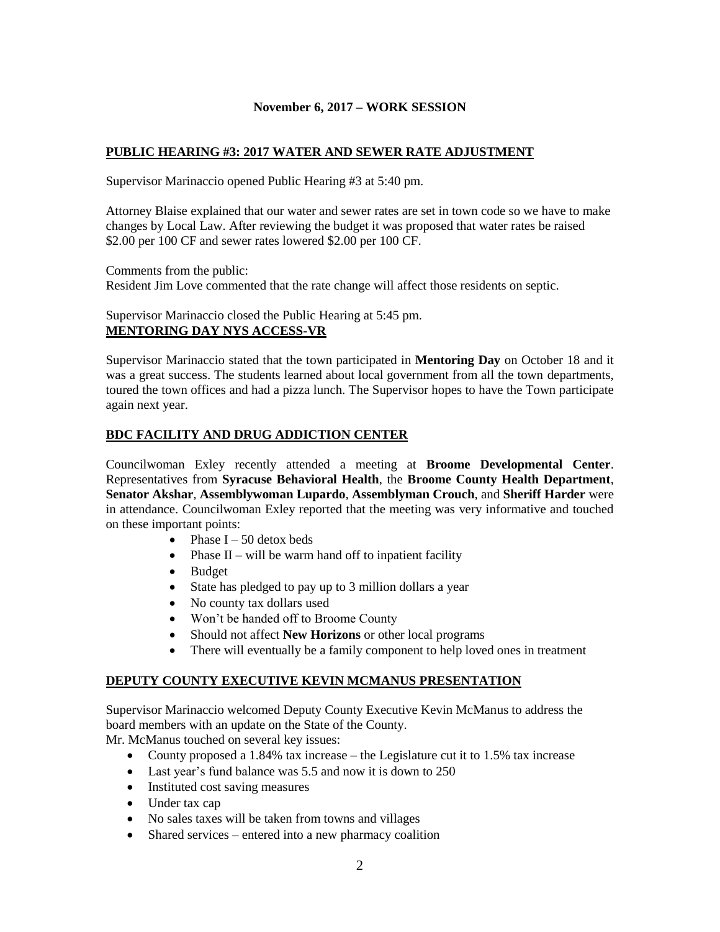# **PUBLIC HEARING #3: 2017 WATER AND SEWER RATE ADJUSTMENT**

Supervisor Marinaccio opened Public Hearing #3 at 5:40 pm.

Attorney Blaise explained that our water and sewer rates are set in town code so we have to make changes by Local Law. After reviewing the budget it was proposed that water rates be raised \$2.00 per 100 CF and sewer rates lowered \$2.00 per 100 CF.

Comments from the public:

Resident Jim Love commented that the rate change will affect those residents on septic.

Supervisor Marinaccio closed the Public Hearing at 5:45 pm. **MENTORING DAY NYS ACCESS-VR**

Supervisor Marinaccio stated that the town participated in **Mentoring Day** on October 18 and it was a great success. The students learned about local government from all the town departments, toured the town offices and had a pizza lunch. The Supervisor hopes to have the Town participate again next year.

#### **BDC FACILITY AND DRUG ADDICTION CENTER**

Councilwoman Exley recently attended a meeting at **Broome Developmental Center**. Representatives from **Syracuse Behavioral Health**, the **Broome County Health Department**, **Senator Akshar**, **Assemblywoman Lupardo**, **Assemblyman Crouch**, and **Sheriff Harder** were in attendance. Councilwoman Exley reported that the meeting was very informative and touched on these important points:

- Phase  $I 50$  detox beds
- Phase  $II will$  be warm hand off to inpatient facility
- Budget
- State has pledged to pay up to 3 million dollars a year
- No county tax dollars used
- Won't be handed off to Broome County
- Should not affect **New Horizons** or other local programs
- There will eventually be a family component to help loved ones in treatment

#### **DEPUTY COUNTY EXECUTIVE KEVIN MCMANUS PRESENTATION**

Supervisor Marinaccio welcomed Deputy County Executive Kevin McManus to address the board members with an update on the State of the County.

Mr. McManus touched on several key issues:

- County proposed a 1.84% tax increase the Legislature cut it to 1.5% tax increase
- Last year's fund balance was 5.5 and now it is down to 250
- Instituted cost saving measures
- Under tax cap
- No sales taxes will be taken from towns and villages
- Shared services entered into a new pharmacy coalition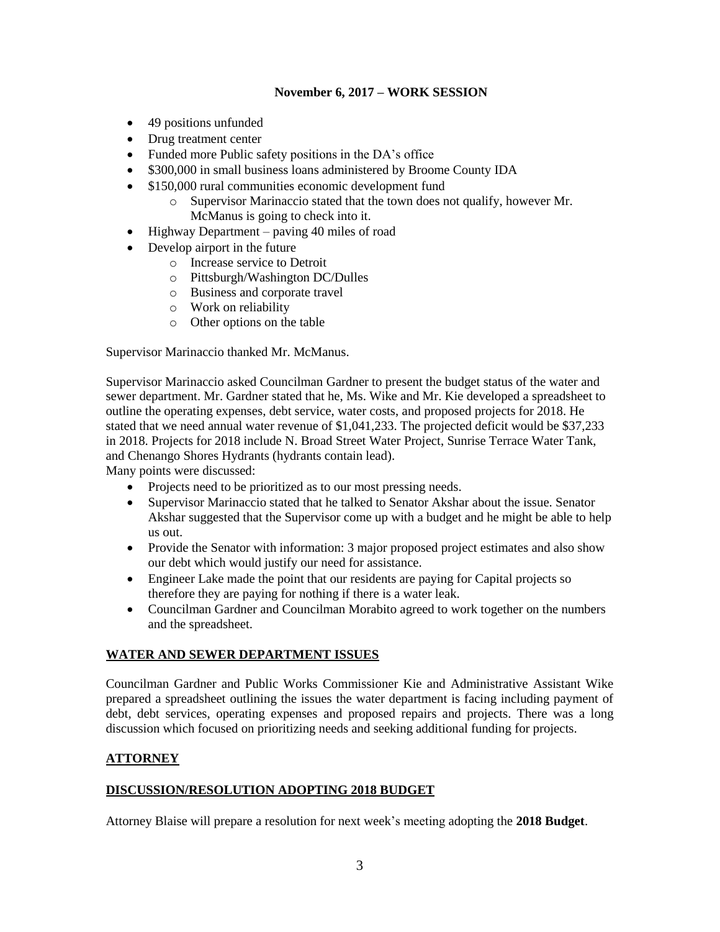- 49 positions unfunded
- Drug treatment center
- Funded more Public safety positions in the DA's office
- \$300,000 in small business loans administered by Broome County IDA
- \$150,000 rural communities economic development fund
	- o Supervisor Marinaccio stated that the town does not qualify, however Mr. McManus is going to check into it.
- $\bullet$  Highway Department paving 40 miles of road
- Develop airport in the future
	- o Increase service to Detroit
	- o Pittsburgh/Washington DC/Dulles
	- o Business and corporate travel
	- o Work on reliability
	- o Other options on the table

Supervisor Marinaccio thanked Mr. McManus.

Supervisor Marinaccio asked Councilman Gardner to present the budget status of the water and sewer department. Mr. Gardner stated that he, Ms. Wike and Mr. Kie developed a spreadsheet to outline the operating expenses, debt service, water costs, and proposed projects for 2018. He stated that we need annual water revenue of \$1,041,233. The projected deficit would be \$37,233 in 2018. Projects for 2018 include N. Broad Street Water Project, Sunrise Terrace Water Tank, and Chenango Shores Hydrants (hydrants contain lead).

Many points were discussed:

- Projects need to be prioritized as to our most pressing needs.
- Supervisor Marinaccio stated that he talked to Senator Akshar about the issue. Senator Akshar suggested that the Supervisor come up with a budget and he might be able to help us out.
- Provide the Senator with information: 3 major proposed project estimates and also show our debt which would justify our need for assistance.
- Engineer Lake made the point that our residents are paying for Capital projects so therefore they are paying for nothing if there is a water leak.
- Councilman Gardner and Councilman Morabito agreed to work together on the numbers and the spreadsheet.

# **WATER AND SEWER DEPARTMENT ISSUES**

Councilman Gardner and Public Works Commissioner Kie and Administrative Assistant Wike prepared a spreadsheet outlining the issues the water department is facing including payment of debt, debt services, operating expenses and proposed repairs and projects. There was a long discussion which focused on prioritizing needs and seeking additional funding for projects.

## **ATTORNEY**

## **DISCUSSION/RESOLUTION ADOPTING 2018 BUDGET**

Attorney Blaise will prepare a resolution for next week's meeting adopting the **2018 Budget**.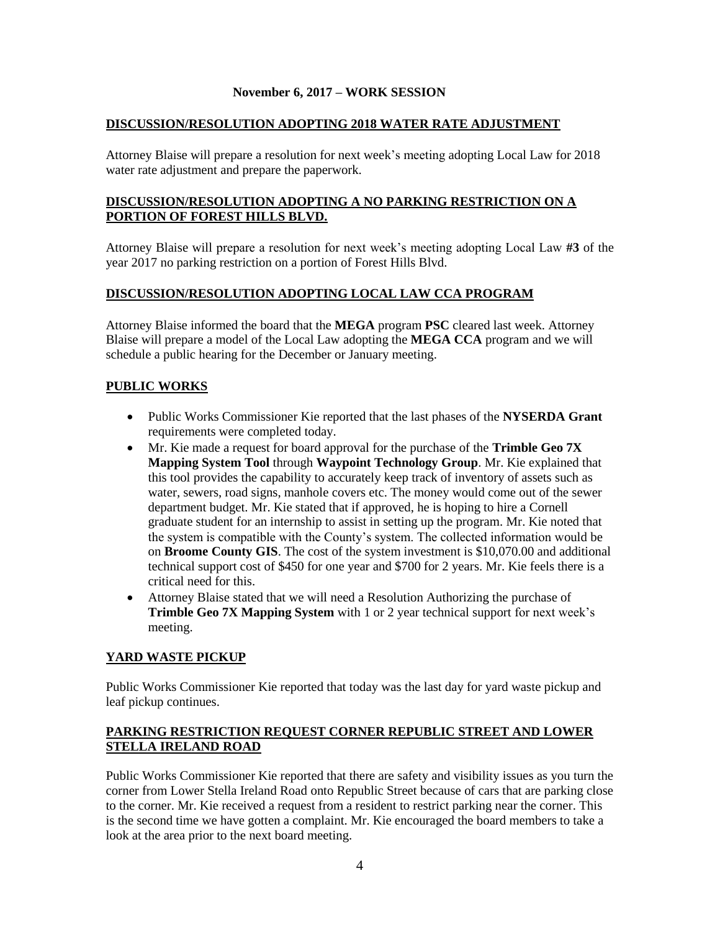#### **DISCUSSION/RESOLUTION ADOPTING 2018 WATER RATE ADJUSTMENT**

Attorney Blaise will prepare a resolution for next week's meeting adopting Local Law for 2018 water rate adjustment and prepare the paperwork.

## **DISCUSSION/RESOLUTION ADOPTING A NO PARKING RESTRICTION ON A PORTION OF FOREST HILLS BLVD.**

Attorney Blaise will prepare a resolution for next week's meeting adopting Local Law **#3** of the year 2017 no parking restriction on a portion of Forest Hills Blvd.

## **DISCUSSION/RESOLUTION ADOPTING LOCAL LAW CCA PROGRAM**

Attorney Blaise informed the board that the **MEGA** program **PSC** cleared last week. Attorney Blaise will prepare a model of the Local Law adopting the **MEGA CCA** program and we will schedule a public hearing for the December or January meeting.

#### **PUBLIC WORKS**

- Public Works Commissioner Kie reported that the last phases of the **NYSERDA Grant** requirements were completed today.
- Mr. Kie made a request for board approval for the purchase of the **Trimble Geo 7X Mapping System Tool** through **Waypoint Technology Group**. Mr. Kie explained that this tool provides the capability to accurately keep track of inventory of assets such as water, sewers, road signs, manhole covers etc. The money would come out of the sewer department budget. Mr. Kie stated that if approved, he is hoping to hire a Cornell graduate student for an internship to assist in setting up the program. Mr. Kie noted that the system is compatible with the County's system. The collected information would be on **Broome County GIS**. The cost of the system investment is \$10,070.00 and additional technical support cost of \$450 for one year and \$700 for 2 years. Mr. Kie feels there is a critical need for this.
- Attorney Blaise stated that we will need a Resolution Authorizing the purchase of **Trimble Geo 7X Mapping System** with 1 or 2 year technical support for next week's meeting.

## **YARD WASTE PICKUP**

Public Works Commissioner Kie reported that today was the last day for yard waste pickup and leaf pickup continues.

## **PARKING RESTRICTION REQUEST CORNER REPUBLIC STREET AND LOWER STELLA IRELAND ROAD**

Public Works Commissioner Kie reported that there are safety and visibility issues as you turn the corner from Lower Stella Ireland Road onto Republic Street because of cars that are parking close to the corner. Mr. Kie received a request from a resident to restrict parking near the corner. This is the second time we have gotten a complaint. Mr. Kie encouraged the board members to take a look at the area prior to the next board meeting.